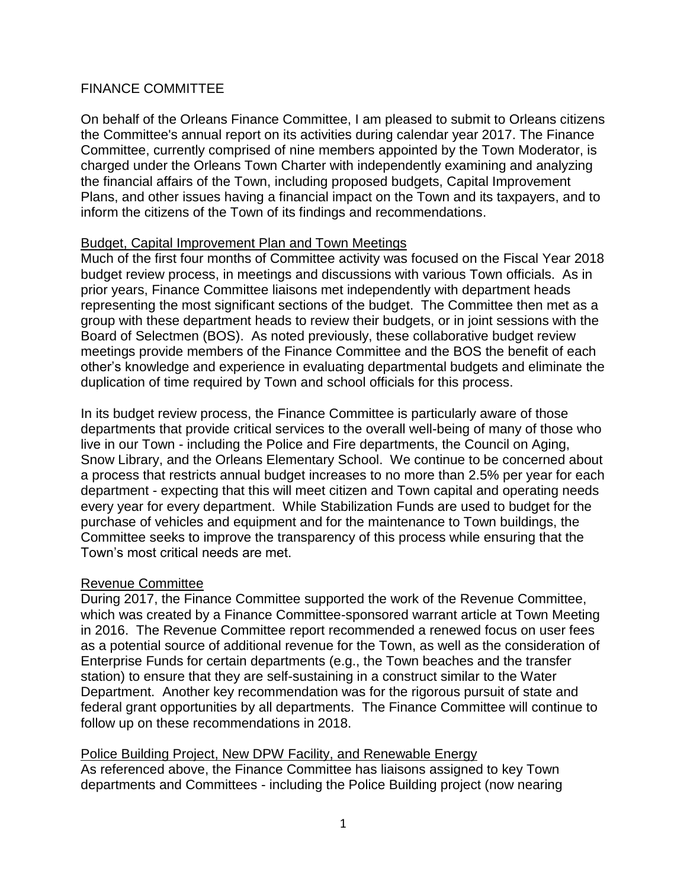# FINANCE COMMITTEE

On behalf of the Orleans Finance Committee, I am pleased to submit to Orleans citizens the Committee's annual report on its activities during calendar year 2017. The Finance Committee, currently comprised of nine members appointed by the Town Moderator, is charged under the Orleans Town Charter with independently examining and analyzing the financial affairs of the Town, including proposed budgets, Capital Improvement Plans, and other issues having a financial impact on the Town and its taxpayers, and to inform the citizens of the Town of its findings and recommendations.

## Budget, Capital Improvement Plan and Town Meetings

Much of the first four months of Committee activity was focused on the Fiscal Year 2018 budget review process, in meetings and discussions with various Town officials. As in prior years, Finance Committee liaisons met independently with department heads representing the most significant sections of the budget. The Committee then met as a group with these department heads to review their budgets, or in joint sessions with the Board of Selectmen (BOS). As noted previously, these collaborative budget review meetings provide members of the Finance Committee and the BOS the benefit of each other's knowledge and experience in evaluating departmental budgets and eliminate the duplication of time required by Town and school officials for this process.

In its budget review process, the Finance Committee is particularly aware of those departments that provide critical services to the overall well-being of many of those who live in our Town - including the Police and Fire departments, the Council on Aging, Snow Library, and the Orleans Elementary School. We continue to be concerned about a process that restricts annual budget increases to no more than 2.5% per year for each department - expecting that this will meet citizen and Town capital and operating needs every year for every department. While Stabilization Funds are used to budget for the purchase of vehicles and equipment and for the maintenance to Town buildings, the Committee seeks to improve the transparency of this process while ensuring that the Town's most critical needs are met.

## Revenue Committee

During 2017, the Finance Committee supported the work of the Revenue Committee, which was created by a Finance Committee-sponsored warrant article at Town Meeting in 2016. The Revenue Committee report recommended a renewed focus on user fees as a potential source of additional revenue for the Town, as well as the consideration of Enterprise Funds for certain departments (e.g., the Town beaches and the transfer station) to ensure that they are self-sustaining in a construct similar to the Water Department. Another key recommendation was for the rigorous pursuit of state and federal grant opportunities by all departments. The Finance Committee will continue to follow up on these recommendations in 2018.

Police Building Project, New DPW Facility, and Renewable Energy As referenced above, the Finance Committee has liaisons assigned to key Town departments and Committees - including the Police Building project (now nearing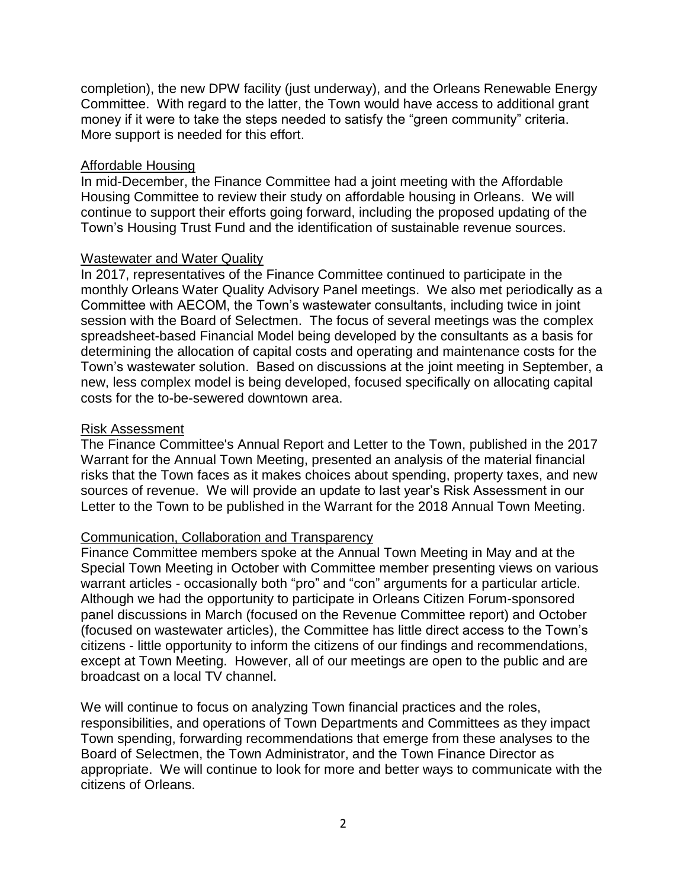completion), the new DPW facility (just underway), and the Orleans Renewable Energy Committee. With regard to the latter, the Town would have access to additional grant money if it were to take the steps needed to satisfy the "green community" criteria. More support is needed for this effort.

### Affordable Housing

In mid-December, the Finance Committee had a joint meeting with the Affordable Housing Committee to review their study on affordable housing in Orleans. We will continue to support their efforts going forward, including the proposed updating of the Town's Housing Trust Fund and the identification of sustainable revenue sources.

### Wastewater and Water Quality

In 2017, representatives of the Finance Committee continued to participate in the monthly Orleans Water Quality Advisory Panel meetings. We also met periodically as a Committee with AECOM, the Town's wastewater consultants, including twice in joint session with the Board of Selectmen. The focus of several meetings was the complex spreadsheet-based Financial Model being developed by the consultants as a basis for determining the allocation of capital costs and operating and maintenance costs for the Town's wastewater solution. Based on discussions at the joint meeting in September, a new, less complex model is being developed, focused specifically on allocating capital costs for the to-be-sewered downtown area.

### Risk Assessment

The Finance Committee's Annual Report and Letter to the Town, published in the 2017 Warrant for the Annual Town Meeting, presented an analysis of the material financial risks that the Town faces as it makes choices about spending, property taxes, and new sources of revenue. We will provide an update to last year's Risk Assessment in our Letter to the Town to be published in the Warrant for the 2018 Annual Town Meeting.

## Communication, Collaboration and Transparency

Finance Committee members spoke at the Annual Town Meeting in May and at the Special Town Meeting in October with Committee member presenting views on various warrant articles - occasionally both "pro" and "con" arguments for a particular article. Although we had the opportunity to participate in Orleans Citizen Forum-sponsored panel discussions in March (focused on the Revenue Committee report) and October (focused on wastewater articles), the Committee has little direct access to the Town's citizens - little opportunity to inform the citizens of our findings and recommendations, except at Town Meeting. However, all of our meetings are open to the public and are broadcast on a local TV channel.

We will continue to focus on analyzing Town financial practices and the roles, responsibilities, and operations of Town Departments and Committees as they impact Town spending, forwarding recommendations that emerge from these analyses to the Board of Selectmen, the Town Administrator, and the Town Finance Director as appropriate. We will continue to look for more and better ways to communicate with the citizens of Orleans.